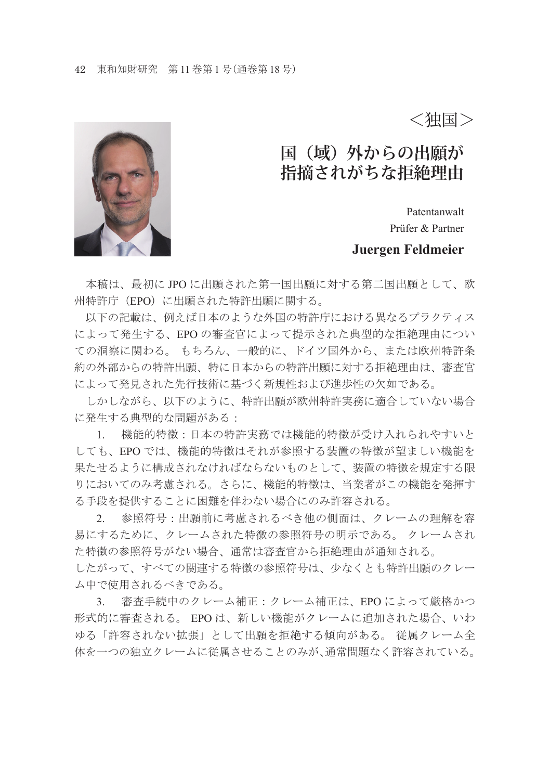<独国>

# 国(域)外からの出願が **指摘されがちな拒絶理由**

Patentanwalt Prüfer & Partner

#### **Juergen Feldmeier**

 本稿は、最初に JPO に出願された第一国出願に対する第二国出願として、欧 州特許庁(EPO)に出願された特許出願に関する。

 以下の記載は、例えば日本のような外国の特許庁における異なるプラクティス によって発生する、EPO の審査官によって提示された典型的な拒絶理由につい ての洞察に関わる。 もちろん、一般的に、ドイツ国外から、または欧州特許条 約の外部からの特許出願、特に日本からの特許出願に対する拒絶理由は、審査官 によって発見された先行技術に基づく新規性および進歩性の欠如である。

 しかしながら、以下のように、特許出願が欧州特許実務に適合していない場合 に発生する典型的な問題がある:

 1. 機能的特徴:日本の特許実務では機能的特徴が受け入れられやすいと しても、EPO では、機能的特徴はそれが参照する装置の特徴が望ましい機能を 果たせるように構成されなければならないものとして、装置の特徴を規定する限 りにおいてのみ考慮される。さらに、機能的特徴は、当業者がこの機能を発揮す る手段を提供することに困難を伴わない場合にのみ許容される。

 2. 参照符号:出願前に考慮されるべき他の側面は、クレームの理解を容 易にするために、クレームされた特徴の参照符号の明示である。 クレームされ た特徴の参照符号がない場合、通常は審査官から拒絶理由が通知される。

したがって、すべての関連する特徴の参照符号は、少なくとも特許出願のクレー ム中で使用されるべきである。

 3. 審査手続中のクレーム補正:クレーム補正は、EPO によって厳格かつ 形式的に審査される。 EPO は、新しい機能がクレームに追加された場合、いわ ゆる「許容されない拡張」として出願を拒絶する傾向がある。 従属クレーム全 体を一つの独立クレームに従属させることのみが、通常問題なく許容されている。

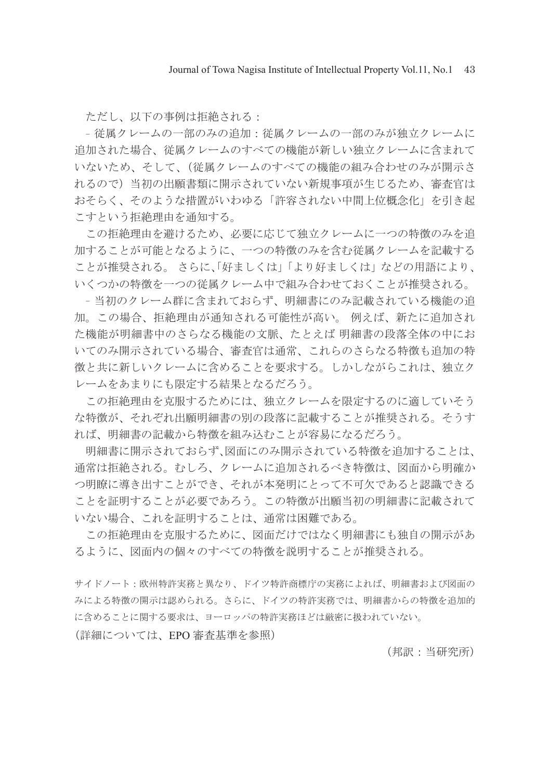ただし、以下の事例は拒絶される:

- 従属クレームの一部のみの追加:従属クレームの一部のみが独立クレームに 追加された場合、従属クレームのすべての機能が新しい独立クレームに含まれて いないため、そして、(従属クレームのすべての機能の組み合わせのみが開示さ れるので)当初の出願書類に開示されていない新規事項が生じるため、審査官は おそらく、そのような措置がいわゆる「許容されない中間上位概念化」を引き起 こすという拒絶理由を通知する。

 この拒絶理由を避けるため、必要に応じて独立クレームに一つの特徴のみを追 加することが可能となるように、一つの特徴のみを含む従属クレームを記載する ことが推奨される。 さらに、「好ましくは」「より好ましくは」などの用語により、 いくつかの特徴を一つの従属クレーム中で組み合わせておくことが推奨される。

-当初のクレーム群に含まれておらず、明細書にのみ記載されている機能の追 加。この場合、拒絶理由が通知される可能性が高い。 例えば、新たに追加され た機能が明細書中のさらなる機能の文脈、たとえば 明細書の段落全体の中にお いてのみ開示されている場合、審査官は通常、これらのさらなる特徴も追加の特 徴と共に新しいクレームに含めることを要求する。しかしながらこれは、独立ク レームをあまりにも限定する結果となるだろう。

 この拒絶理由を克服するためには、独立クレームを限定するのに適していそう な特徴が、それぞれ出願明細書の別の段落に記載することが推奨される。そうす れば、明細書の記載から特徴を組み込むことが容易になるだろう。

 明細書に開示されておらず、図面にのみ開示されている特徴を追加することは、 通常は拒絶される。むしろ、クレームに追加されるべき特徴は、図面から明確か つ明瞭に導き出すことができ、それが本発明にとって不可欠であると認識できる ことを証明することが必要であろう。この特徴が出願当初の明細書に記載されて いない場合、これを証明することは、通常は困難である。

 この拒絶理由を克服するために、図面だけではなく明細書にも独自の開示があ るように、図面内の個々のすべての特徴を説明することが推奨される。

サイドノート:欧州特許実務と異なり、ドイツ特許商標庁の実務によれば、明細書および図面の みによる特徴の開示は認められる。さらに、ドイツの特許実務では、明細書からの特徴を追加的 に含めることに関する要求は、ヨーロッパの特許実務ほどは厳密に扱われていない。

(詳細については、EPO 審査基準を参照)

(邦訳:当研究所)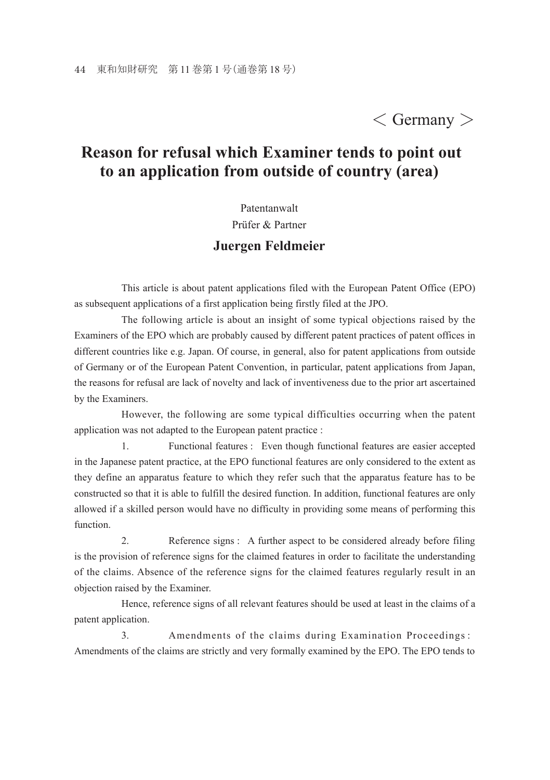## $\langle$  Germany  $\rangle$

### **Reason for refusal which Examiner tends to point out to an application from outside of country (area)**

Patentanwalt

Prüfer & Partner

#### **Juergen Feldmeier**

 This article is about patent applications filed with the European Patent Office (EPO) as subsequent applications of a first application being firstly filed at the JPO.

 The following article is about an insight of some typical objections raised by the Examiners of the EPO which are probably caused by different patent practices of patent offices in different countries like e.g. Japan. Of course, in general, also for patent applications from outside of Germany or of the European Patent Convention, in particular, patent applications from Japan, the reasons for refusal are lack of novelty and lack of inventiveness due to the prior art ascertained by the Examiners.

 However, the following are some typical difficulties occurring when the patent application was not adapted to the European patent practice :

 1. Functional features : Even though functional features are easier accepted in the Japanese patent practice, at the EPO functional features are only considered to the extent as they define an apparatus feature to which they refer such that the apparatus feature has to be constructed so that it is able to fulfill the desired function. In addition, functional features are only allowed if a skilled person would have no difficulty in providing some means of performing this function.

 2. Reference signs : A further aspect to be considered already before filing is the provision of reference signs for the claimed features in order to facilitate the understanding of the claims. Absence of the reference signs for the claimed features regularly result in an objection raised by the Examiner.

 Hence, reference signs of all relevant features should be used at least in the claims of a patent application.

 3. Amendments of the claims during Examination Proceedings : Amendments of the claims are strictly and very formally examined by the EPO. The EPO tends to